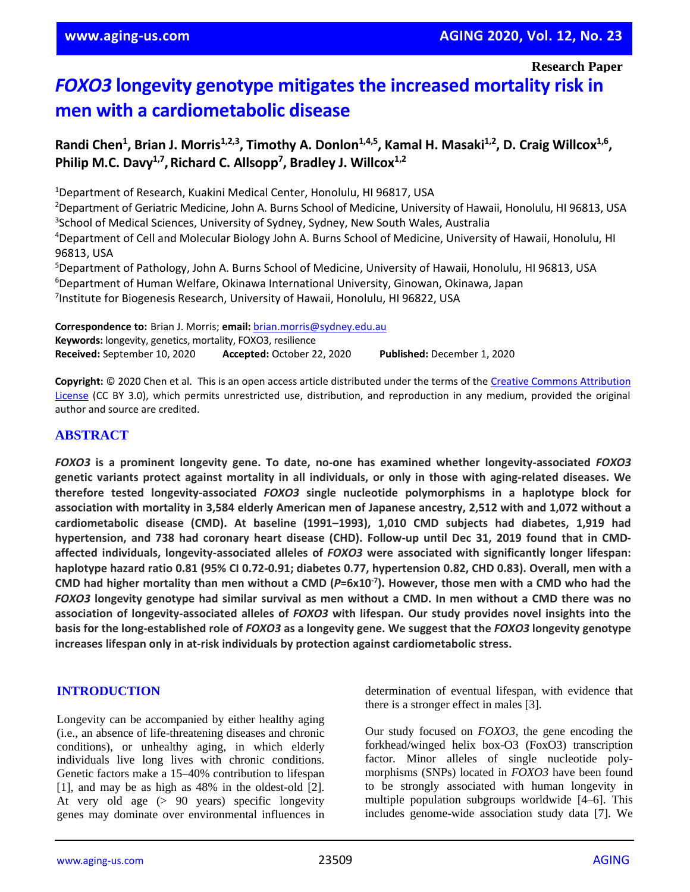**Research Paper**

# *FOXO3* **longevity genotype mitigates the increased mortality risk in men with a cardiometabolic disease**

# Randi Chen<sup>1</sup>, Brian J. Morris<sup>1,2,3</sup>, Timothy A. Donlon<sup>1,4,5</sup>, Kamal H. Masaki<sup>1,2</sup>, D. Craig Willcox<sup>1,6</sup>, Philip M.C. Davy<sup>1,7</sup>, Richard C. Allsopp<sup>7</sup>, Bradley J. Willcox<sup>1,2</sup>

<sup>1</sup>Department of Research, Kuakini Medical Center, Honolulu, HI 96817, USA

<sup>2</sup>Department of Geriatric Medicine, John A. Burns School of Medicine, University of Hawaii, Honolulu, HI 96813, USA <sup>3</sup>School of Medical Sciences, University of Sydney, Sydney, New South Wales, Australia

<sup>4</sup>Department of Cell and Molecular Biology John A. Burns School of Medicine, University of Hawaii, Honolulu, HI 96813, USA

<sup>5</sup>Department of Pathology, John A. Burns School of Medicine, University of Hawaii, Honolulu, HI 96813, USA <sup>6</sup>Department of Human Welfare, Okinawa International University, Ginowan, Okinawa, Japan <sup>7</sup>Institute for Biogenesis Research, University of Hawaii, Honolulu, HI 96822, USA

**Correspondence to:** Brian J. Morris; **email:** [brian.morris@sydney.edu.au](mailto:brian.morris@sydney.edu.au) **Keywords:** longevity, genetics, mortality, FOXO3, resilience **Received:** September 10, 2020 **Accepted:** October 22, 2020 **Published:** December 1, 2020

**Copyright:** © 2020 Chen et al. This is an open access article distributed under the terms of th[e Creative Commons Attribution](https://creativecommons.org/licenses/by/3.0/)  [License](https://creativecommons.org/licenses/by/3.0/) (CC BY 3.0), which permits unrestricted use, distribution, and reproduction in any medium, provided the original author and source are credited.

## **ABSTRACT**

*FOXO3* **is a prominent longevity gene. To date, no-one has examined whether longevity-associated** *FOXO3* **genetic variants protect against mortality in all individuals, or only in those with aging-related diseases. We therefore tested longevity-associated** *FOXO3* **single nucleotide polymorphisms in a haplotype block for** association with mortality in 3,584 elderly American men of Japanese ancestry, 2,512 with and 1,072 without a **cardiometabolic disease (CMD). At baseline (1991–1993), 1,010 CMD subjects had diabetes, 1,919 had hypertension, and 738 had coronary heart disease (CHD). Follow-up until Dec 31, 2019 found that in CMDaffected individuals, longevity-associated alleles of** *FOXO3* **were associated with significantly longer lifespan:** haplotype hazard ratio 0.81 (95% CI 0.72-0.91; diabetes 0.77, hypertension 0.82, CHD 0.83). Overall, men with a CMD had higher mortality than men without a CMD ( $P=6x10^{-7}$ ). However, those men with a CMD who had the FOXO3 longevity genotype had similar survival as men without a CMD. In men without a CMD there was no **association of longevity-associated alleles of** *FOXO3* **with lifespan. Our study provides novel insights into the** basis for the long-established role of FOXO3 as a longevity gene. We suggest that the FOXO3 longevity genotype **increases lifespan only in at-risk individuals by protection against cardiometabolic stress.**

#### **INTRODUCTION**

Longevity can be accompanied by either healthy aging (i.e., an absence of life-threatening diseases and chronic conditions), or unhealthy aging, in which elderly individuals live long lives with chronic conditions. Genetic factors make a 15–40% contribution to lifespan [1], and may be as high as 48% in the oldest-old [2]. At very old age (> 90 years) specific longevity genes may dominate over environmental influences in determination of eventual lifespan, with evidence that there is a stronger effect in males [3].

Our study focused on *FOXO3*, the gene encoding the forkhead/winged helix box-O3 (FoxO3) transcription factor. Minor alleles of single nucleotide polymorphisms (SNPs) located in *FOXO3* have been found to be strongly associated with human longevity in multiple population subgroups worldwide [4–6]. This includes genome-wide association study data [7]. We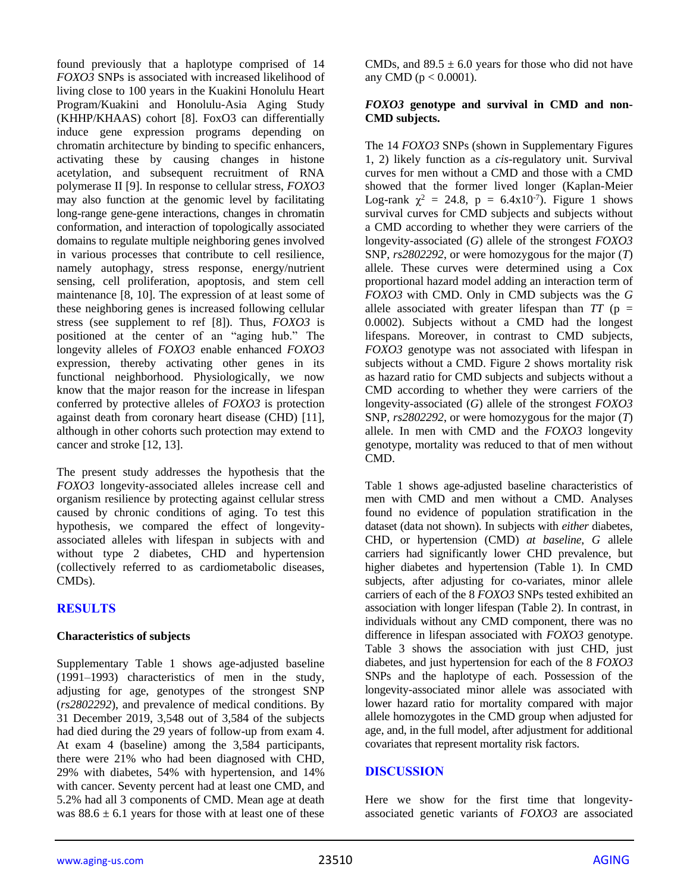found previously that a haplotype comprised of 14 *FOXO3* SNPs is associated with increased likelihood of living close to 100 years in the Kuakini Honolulu Heart Program/Kuakini and Honolulu-Asia Aging Study (KHHP/KHAAS) cohort [8]. FoxO3 can differentially induce gene expression programs depending on chromatin architecture by binding to specific enhancers, activating these by causing changes in histone acetylation, and subsequent recruitment of RNA polymerase II [9]. In response to cellular stress, *FOXO3* may also function at the genomic level by facilitating long-range gene-gene interactions, changes in chromatin conformation, and interaction of topologically associated domains to regulate multiple neighboring genes involved in various processes that contribute to cell resilience, namely autophagy, stress response, energy/nutrient sensing, cell proliferation, apoptosis, and stem cell maintenance [8, 10]. The expression of at least some of these neighboring genes is increased following cellular stress (see supplement to ref [8]). Thus, *FOXO3* is positioned at the center of an "aging hub." The longevity alleles of *FOXO3* enable enhanced *FOXO3* expression, thereby activating other genes in its functional neighborhood. Physiologically, we now know that the major reason for the increase in lifespan conferred by protective alleles of *FOXO3* is protection against death from coronary heart disease (CHD) [11], although in other cohorts such protection may extend to cancer and stroke [12, 13].

The present study addresses the hypothesis that the *FOXO3* longevity-associated alleles increase cell and organism resilience by protecting against cellular stress caused by chronic conditions of aging. To test this hypothesis, we compared the effect of longevityassociated alleles with lifespan in subjects with and without type 2 diabetes, CHD and hypertension (collectively referred to as cardiometabolic diseases, CMDs).

## **RESULTS**

#### **Characteristics of subjects**

Supplementary Table 1 shows age-adjusted baseline (1991–1993) characteristics of men in the study, adjusting for age, genotypes of the strongest SNP (*rs2802292*), and prevalence of medical conditions. By 31 December 2019, 3,548 out of 3,584 of the subjects had died during the 29 years of follow-up from exam 4. At exam 4 (baseline) among the 3,584 participants, there were 21% who had been diagnosed with CHD, 29% with diabetes, 54% with hypertension, and 14% with cancer. Seventy percent had at least one CMD, and 5.2% had all 3 components of CMD. Mean age at death was  $88.6 \pm 6.1$  years for those with at least one of these CMDs, and  $89.5 \pm 6.0$  years for those who did not have any CMD ( $p < 0.0001$ ).

#### *FOXO3* **genotype and survival in CMD and non-CMD subjects.**

The 14 *FOXO3* SNPs (shown in Supplementary Figures 1, 2) likely function as a *cis*-regulatory unit. Survival curves for men without a CMD and those with a CMD showed that the former lived longer (Kaplan-Meier Log-rank  $\chi^2 = 24.8$ ,  $p = 6.4x10^{-7}$ ). Figure 1 shows survival curves for CMD subjects and subjects without a CMD according to whether they were carriers of the longevity-associated (*G*) allele of the strongest *FOXO3* SNP, *rs2802292*, or were homozygous for the major (*T*) allele. These curves were determined using a Cox proportional hazard model adding an interaction term of *FOXO3* with CMD. Only in CMD subjects was the *G* allele associated with greater lifespan than  $TT$  ( $p =$ 0.0002). Subjects without a CMD had the longest lifespans. Moreover, in contrast to CMD subjects, *FOXO3* genotype was not associated with lifespan in subjects without a CMD. Figure 2 shows mortality risk as hazard ratio for CMD subjects and subjects without a CMD according to whether they were carriers of the longevity-associated (*G*) allele of the strongest *FOXO3* SNP, *rs2802292*, or were homozygous for the major (*T*) allele. In men with CMD and the *FOXO3* longevity genotype, mortality was reduced to that of men without CMD.

Table 1 shows age-adjusted baseline characteristics of men with CMD and men without a CMD. Analyses found no evidence of population stratification in the dataset (data not shown). In subjects with *either* diabetes, CHD, or hypertension (CMD) *at baseline*, *G* allele carriers had significantly lower CHD prevalence, but higher diabetes and hypertension (Table 1). In CMD subjects, after adjusting for co-variates, minor allele carriers of each of the 8 *FOXO3* SNPs tested exhibited an association with longer lifespan (Table 2). In contrast, in individuals without any CMD component, there was no difference in lifespan associated with *FOXO3* genotype. Table 3 shows the association with just CHD, just diabetes, and just hypertension for each of the 8 *FOXO3* SNPs and the haplotype of each. Possession of the longevity-associated minor allele was associated with lower hazard ratio for mortality compared with major allele homozygotes in the CMD group when adjusted for age, and, in the full model, after adjustment for additional covariates that represent mortality risk factors.

#### **DISCUSSION**

Here we show for the first time that longevityassociated genetic variants of *FOXO3* are associated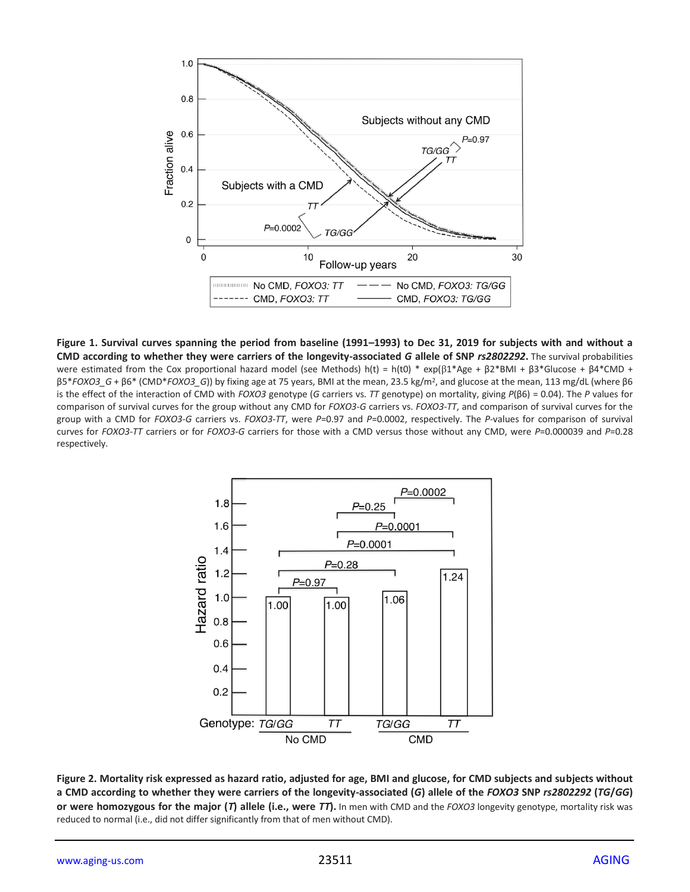

**Figure 1. Survival curves spanning the period from baseline (1991–1993) to Dec 31, 2019 for subjects with and without a CMD according to whether they were carriers of the longevity-associated** *G* **allele of SNP** *rs2802292***.** The survival probabilities were estimated from the Cox proportional hazard model (see Methods) h(t) = h(t0) \* exp( $\beta$ 1\*Age +  $\beta$ 2\*BMI +  $\beta$ 3\*Glucose +  $\beta$ 4\*CMD + β5\**FOXO3\_G* + β6\* (CMD\**FOXO3\_G*)) by fixing age at 75 years, BMI at the mean, 23.5 kg/m<sup>2</sup> , and glucose at the mean, 113 mg/dL (where β6 is the effect of the interaction of CMD with *FOXO3* genotype (*G* carriers vs. *TT* genotype) on mortality, giving *P*(β6) = 0.04). The *P* values for comparison of survival curves for the group without any CMD for *FOXO3-G* carriers vs. *FOXO3-TT*, and comparison of survival curves for the group with a CMD for *FOXO3-G* carriers vs. *FOXO3-TT*, were *P*=0.97 and *P*=0.0002, respectively. The *P*-values for comparison of survival curves for *FOXO3-TT* carriers or for *FOXO3-G* carriers for those with a CMD versus those without any CMD, were *P*=0.000039 and *P*=0.28 respectively.



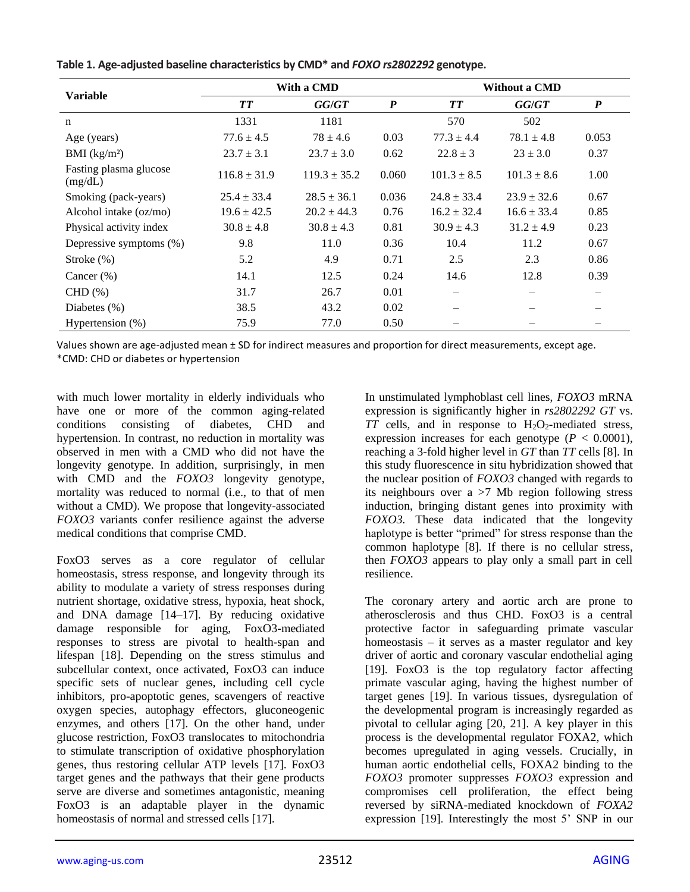|                                   |                  | With a CMD       |                  | Without a CMD   |                 |                                |  |
|-----------------------------------|------------------|------------------|------------------|-----------------|-----------------|--------------------------------|--|
| <b>Variable</b>                   | TТ               | GG/GT            | $\boldsymbol{P}$ | <b>TT</b>       | GG/GT           | $\boldsymbol{P}$               |  |
| $\mathbf n$                       | 1331             | 1181             |                  | 570             | 502             |                                |  |
| Age (years)                       | $77.6 \pm 4.5$   | $78 \pm 4.6$     | 0.03             | $77.3 \pm 4.4$  | $78.1 \pm 4.8$  | 0.053                          |  |
| BMI $(kg/m2)$                     | $23.7 \pm 3.1$   | $23.7 \pm 3.0$   | 0.62             | $22.8 \pm 3$    | $23 \pm 3.0$    | 0.37                           |  |
| Fasting plasma glucose<br>(mg/dL) | $116.8 \pm 31.9$ | $119.3 \pm 35.2$ | 0.060            | $101.3 \pm 8.5$ | $101.3 \pm 8.6$ | 1.00                           |  |
| Smoking (pack-years)              | $25.4 \pm 33.4$  | $28.5 \pm 36.1$  | 0.036            | $24.8 \pm 33.4$ | $23.9 \pm 32.6$ | 0.67                           |  |
| Alcohol intake (oz/mo)            | $19.6 \pm 42.5$  | $20.2 \pm 44.3$  | 0.76             | $16.2 \pm 32.4$ | $16.6 \pm 33.4$ | 0.85                           |  |
| Physical activity index           | $30.8 \pm 4.8$   | $30.8 \pm 4.3$   | 0.81             | $30.9 \pm 4.3$  | $31.2 \pm 4.9$  | 0.23                           |  |
| Depressive symptoms (%)           | 9.8              | 11.0             | 0.36             | 10.4            | 11.2            | 0.67                           |  |
| Stroke $(\%)$                     | 5.2              | 4.9              | 0.71             | 2.5             | 2.3             | 0.86                           |  |
| Cancer $(\%)$                     | 14.1             | 12.5             | 0.24             | 14.6            | 12.8            | 0.39                           |  |
| $CHD(\%)$                         | 31.7             | 26.7             | 0.01             |                 |                 | $\qquad \qquad \longleftarrow$ |  |
| Diabetes $(\%)$                   | 38.5             | 43.2             | 0.02             |                 |                 |                                |  |
| Hypertension (%)                  | 75.9             | 77.0             | 0.50             |                 |                 |                                |  |

**Table 1. Age-adjusted baseline characteristics by CMD\* and** *FOXO rs2802292* **genotype.**

Values shown are age-adjusted mean ± SD for indirect measures and proportion for direct measurements, except age. \*CMD: CHD or diabetes or hypertension

with much lower mortality in elderly individuals who have one or more of the common aging-related conditions consisting of diabetes, CHD and hypertension. In contrast, no reduction in mortality was observed in men with a CMD who did not have the longevity genotype. In addition, surprisingly, in men with CMD and the *FOXO3* longevity genotype, mortality was reduced to normal (i.e., to that of men without a CMD). We propose that longevity-associated *FOXO3* variants confer resilience against the adverse medical conditions that comprise CMD.

FoxO3 serves as a core regulator of cellular homeostasis, stress response, and longevity through its ability to modulate a variety of stress responses during nutrient shortage, oxidative stress, hypoxia, heat shock, and DNA damage [14–17]. By reducing oxidative damage responsible for aging, FoxO3-mediated responses to stress are pivotal to health-span and lifespan [18]. Depending on the stress stimulus and subcellular context, once activated, FoxO3 can induce specific sets of nuclear genes, including cell cycle inhibitors, pro-apoptotic genes, scavengers of reactive oxygen species, autophagy effectors, gluconeogenic enzymes, and others [17]. On the other hand, under glucose restriction, FoxO3 translocates to mitochondria to stimulate transcription of oxidative phosphorylation genes, thus restoring cellular ATP levels [17]. FoxO3 target genes and the pathways that their gene products serve are diverse and sometimes antagonistic, meaning FoxO3 is an adaptable player in the dynamic homeostasis of normal and stressed cells [17].

In unstimulated lymphoblast cell lines, *FOXO3* mRNA expression is significantly higher in *rs2802292 GT* vs.  $TT$  cells, and in response to  $H_2O_2$ -mediated stress, expression increases for each genotype  $(P < 0.0001)$ , reaching a 3-fold higher level in *GT* than *TT* cells [8]. In this study fluorescence in situ hybridization showed that the nuclear position of *FOXO3* changed with regards to its neighbours over a >7 Mb region following stress induction, bringing distant genes into proximity with *FOXO3.* These data indicated that the longevity haplotype is better "primed" for stress response than the common haplotype [8]. If there is no cellular stress, then *FOXO3* appears to play only a small part in cell resilience.

The coronary artery and aortic arch are prone to atherosclerosis and thus CHD. FoxO3 is a central protective factor in safeguarding primate vascular homeostasis – it serves as a master regulator and key driver of aortic and coronary vascular endothelial aging [19]. FoxO3 is the top regulatory factor affecting primate vascular aging, having the highest number of target genes [19]. In various tissues, dysregulation of the developmental program is increasingly regarded as pivotal to cellular aging [20, 21]. A key player in this process is the developmental regulator FOXA2, which becomes upregulated in aging vessels. Crucially, in human aortic endothelial cells, FOXA2 binding to the *FOXO3* promoter suppresses *FOXO3* expression and compromises cell proliferation, the effect being reversed by siRNA-mediated knockdown of *FOXA2* expression [19]. Interestingly the most 5' SNP in our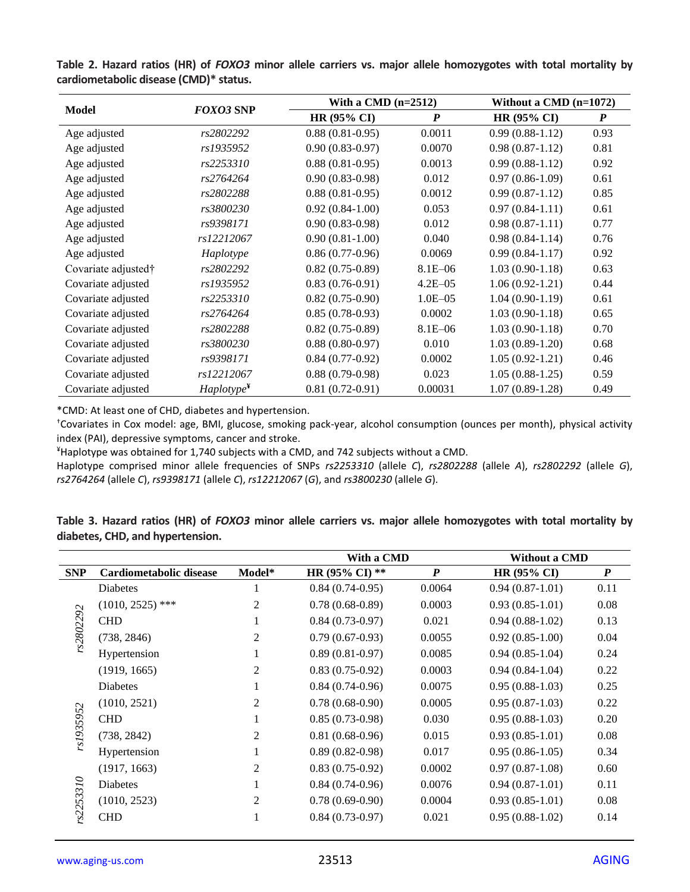| <b>Model</b><br><b>FOXO3 SNP</b> |                        | With a CMD $(n=2512)$ | Without a CMD $(n=1072)$ |                     |                  |
|----------------------------------|------------------------|-----------------------|--------------------------|---------------------|------------------|
|                                  |                        | <b>HR (95% CI)</b>    | $\boldsymbol{P}$         | $HR (95\% CI)$      | $\boldsymbol{P}$ |
| Age adjusted                     | rs2802292              | $0.88(0.81 - 0.95)$   | 0.0011                   | $0.99(0.88-1.12)$   | 0.93             |
| Age adjusted                     | rs1935952              | $0.90(0.83 - 0.97)$   | 0.0070                   | $0.98(0.87-1.12)$   | 0.81             |
| Age adjusted                     | rs2253310              | $0.88(0.81 - 0.95)$   | 0.0013                   | $0.99(0.88-1.12)$   | 0.92             |
| Age adjusted                     | rs2764264              | $0.90(0.83 - 0.98)$   | 0.012                    | $0.97(0.86-1.09)$   | 0.61             |
| Age adjusted                     | rs2802288              | $0.88(0.81-0.95)$     | 0.0012                   | $0.99(0.87-1.12)$   | 0.85             |
| Age adjusted                     | rs3800230              | $0.92(0.84-1.00)$     | 0.053                    | $0.97(0.84-1.11)$   | 0.61             |
| Age adjusted                     | rs9398171              | $0.90(0.83 - 0.98)$   | 0.012                    | $0.98(0.87-1.11)$   | 0.77             |
| Age adjusted                     | rs12212067             | $0.90(0.81-1.00)$     | 0.040                    | $0.98(0.84-1.14)$   | 0.76             |
| Age adjusted                     | Haplotype              | $0.86(0.77-0.96)$     | 0.0069                   | $0.99(0.84-1.17)$   | 0.92             |
| Covariate adjusted†              | rs2802292              | $0.82(0.75-0.89)$     | 8.1E-06                  | $1.03(0.90-1.18)$   | 0.63             |
| Covariate adjusted               | rs1935952              | $0.83(0.76-0.91)$     | $4.2E - 0.5$             | $1.06(0.92-1.21)$   | 0.44             |
| Covariate adjusted               | rs2253310              | $0.82(0.75-0.90)$     | $1.0E - 0.5$             | $1.04(0.90-1.19)$   | 0.61             |
| Covariate adjusted               | rs2764264              | $0.85(0.78-0.93)$     | 0.0002                   | $1.03(0.90-1.18)$   | 0.65             |
| Covariate adjusted               | rs2802288              | $0.82(0.75-0.89)$     | 8.1E-06                  | $1.03(0.90-1.18)$   | 0.70             |
| Covariate adjusted               | rs3800230              | $0.88(0.80-0.97)$     | 0.010                    | $1.03(0.89-1.20)$   | 0.68             |
| Covariate adjusted               | rs9398171              | $0.84(0.77-0.92)$     | 0.0002                   | $1.05(0.92 - 1.21)$ | 0.46             |
| Covariate adjusted               | rs12212067             | $0.88(0.79-0.98)$     | 0.023                    | $1.05(0.88-1.25)$   | 0.59             |
| Covariate adjusted               | Haplotype <sup>Y</sup> | $0.81(0.72-0.91)$     | 0.00031                  | $1.07(0.89-1.28)$   | 0.49             |

**Table 2. Hazard ratios (HR) of** *FOXO3* **minor allele carriers vs. major allele homozygotes with total mortality by cardiometabolic disease (CMD)\* status.**

\*CMD: At least one of CHD, diabetes and hypertension.

†Covariates in Cox model: age, BMI, glucose, smoking pack-year, alcohol consumption (ounces per month), physical activity index (PAI), depressive symptoms, cancer and stroke.

¥Haplotype was obtained for 1,740 subjects with a CMD, and 742 subjects without a CMD.

Haplotype comprised minor allele frequencies of SNPs *rs2253310* (allele *C*), *rs2802288* (allele *A*), *rs2802292* (allele *G*), *rs2764264* (allele *C*), *rs9398171* (allele *C*), *rs12212067* (*G*), and *rs3800230* (allele *G*).

|                                  |  |  |  |  |  | Table 3. Hazard ratios (HR) of FOXO3 minor allele carriers vs. major allele homozygotes with total mortality by |  |  |
|----------------------------------|--|--|--|--|--|-----------------------------------------------------------------------------------------------------------------|--|--|
| diabetes, CHD, and hypertension. |  |  |  |  |  |                                                                                                                 |  |  |

|            |                         |        | With a CMD        |                  | <b>Without a CMD</b> |                  |
|------------|-------------------------|--------|-------------------|------------------|----------------------|------------------|
| <b>SNP</b> | Cardiometabolic disease | Model* | HR (95% CI) **    | $\boldsymbol{P}$ | <b>HR (95% CI)</b>   | $\boldsymbol{P}$ |
|            | Diabetes                | 1      | $0.84(0.74-0.95)$ | 0.0064           | $0.94(0.87-1.01)$    | 0.11             |
|            | $(1010, 2525)$ ***      | 2      | $0.78(0.68-0.89)$ | 0.0003           | $0.93(0.85-1.01)$    | 0.08             |
|            | <b>CHD</b>              |        | $0.84(0.73-0.97)$ | 0.021            | $0.94(0.88-1.02)$    | 0.13             |
| rs2802292  | (738, 2846)             | 2      | $0.79(0.67-0.93)$ | 0.0055           | $0.92(0.85-1.00)$    | 0.04             |
|            | Hypertension            | 1      | $0.89(0.81-0.97)$ | 0.0085           | $0.94(0.85-1.04)$    | 0.24             |
|            | (1919, 1665)            | 2      | $0.83(0.75-0.92)$ | 0.0003           | $0.94(0.84-1.04)$    | 0.22             |
|            | <b>Diabetes</b>         |        | $0.84(0.74-0.96)$ | 0.0075           | $0.95(0.88-1.03)$    | 0.25             |
|            | (1010, 2521)            | 2      | $0.78(0.68-0.90)$ | 0.0005           | $0.95(0.87-1.03)$    | 0.22             |
| rs1935952  | <b>CHD</b>              | 1      | $0.85(0.73-0.98)$ | 0.030            | $0.95(0.88-1.03)$    | 0.20             |
|            | (738, 2842)             | 2      | $0.81(0.68-0.96)$ | 0.015            | $0.93(0.85-1.01)$    | 0.08             |
|            | Hypertension            | 1      | $0.89(0.82-0.98)$ | 0.017            | $0.95(0.86-1.05)$    | 0.34             |
|            | (1917, 1663)            | 2      | $0.83(0.75-0.92)$ | 0.0002           | $0.97(0.87-1.08)$    | 0.60             |
| 310        | <b>Diabetes</b>         | 1      | $0.84(0.74-0.96)$ | 0.0076           | $0.94(0.87-1.01)$    | 0.11             |
|            | (1010, 2523)            | 2      | $0.78(0.69-0.90)$ | 0.0004           | $0.93(0.85-1.01)$    | 0.08             |
| rs2253.    | <b>CHD</b>              | 1      | $0.84(0.73-0.97)$ | 0.021            | $0.95(0.88-1.02)$    | 0.14             |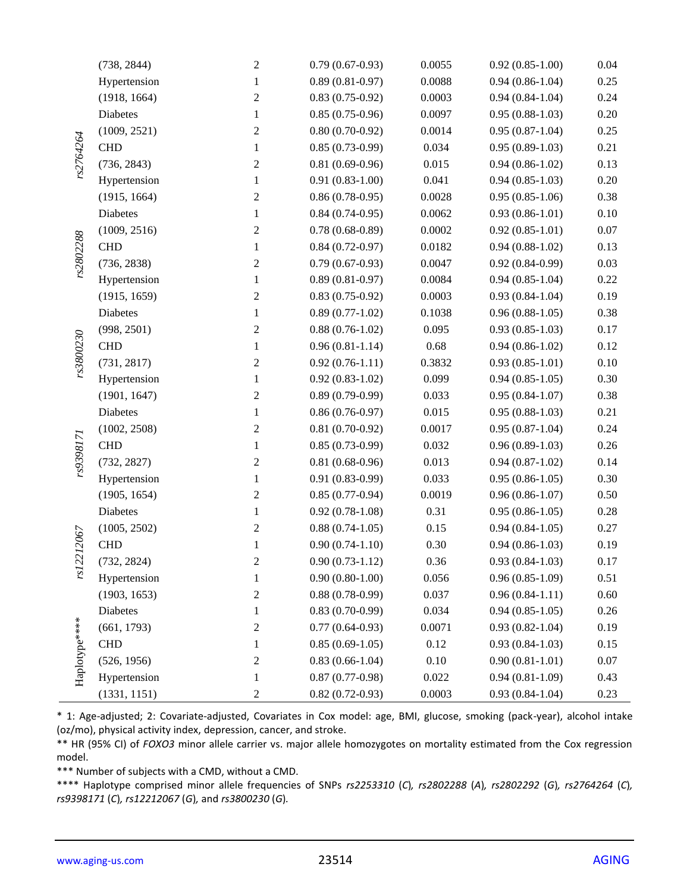|               | (738, 2844)  | $\sqrt{2}$       | $0.79(0.67-0.93)$   | 0.0055   | $0.92(0.85 - 1.00)$ | 0.04     |
|---------------|--------------|------------------|---------------------|----------|---------------------|----------|
|               | Hypertension | $\mathbf{1}$     | $0.89(0.81 - 0.97)$ | 0.0088   | $0.94(0.86-1.04)$   | 0.25     |
|               | (1918, 1664) | $\overline{c}$   | $0.83(0.75-0.92)$   | 0.0003   | $0.94(0.84-1.04)$   | 0.24     |
|               | Diabetes     | 1                | $0.85(0.75-0.96)$   | 0.0097   | $0.95(0.88-1.03)$   | 0.20     |
|               | (1009, 2521) | $\sqrt{2}$       | $0.80(0.70-0.92)$   | 0.0014   | $0.95(0.87-1.04)$   | 0.25     |
| rs2764264     | <b>CHD</b>   | 1                | $0.85(0.73-0.99)$   | 0.034    | $0.95(0.89-1.03)$   | 0.21     |
|               | (736, 2843)  | $\sqrt{2}$       | $0.81(0.69-0.96)$   | 0.015    | $0.94(0.86-1.02)$   | 0.13     |
|               | Hypertension | $\mathbf{1}$     | $0.91(0.83-1.00)$   | 0.041    | $0.94(0.85-1.03)$   | 0.20     |
|               | (1915, 1664) | 2                | $0.86(0.78-0.95)$   | 0.0028   | $0.95(0.85-1.06)$   | 0.38     |
|               | Diabetes     | 1                | $0.84(0.74-0.95)$   | 0.0062   | $0.93(0.86-1.01)$   | 0.10     |
|               | (1009, 2516) | $\boldsymbol{2}$ | $0.78(0.68-0.89)$   | 0.0002   | $0.92(0.85-1.01)$   | $0.07\,$ |
|               | <b>CHD</b>   | 1                | $0.84(0.72-0.97)$   | 0.0182   | $0.94(0.88-1.02)$   | 0.13     |
| rs2802288     | (736, 2838)  | $\overline{c}$   | $0.79(0.67-0.93)$   | 0.0047   | $0.92(0.84-0.99)$   | 0.03     |
|               | Hypertension | $\mathbf{1}$     | $0.89(0.81 - 0.97)$ | 0.0084   | $0.94(0.85-1.04)$   | 0.22     |
|               | (1915, 1659) | $\sqrt{2}$       | $0.83(0.75-0.92)$   | 0.0003   | $0.93(0.84 - 1.04)$ | 0.19     |
|               | Diabetes     | $\mathbf{1}$     | $0.89(0.77-1.02)$   | 0.1038   | $0.96(0.88-1.05)$   | 0.38     |
|               | (998, 2501)  | 2                | $0.88(0.76-1.02)$   | 0.095    | $0.93(0.85-1.03)$   | 0.17     |
|               | <b>CHD</b>   | $\mathbf{1}$     | $0.96(0.81-1.14)$   | $0.68\,$ | $0.94(0.86-1.02)$   | 0.12     |
| rs3800230     | (731, 2817)  | 2                | $0.92(0.76-1.11)$   | 0.3832   | $0.93(0.85-1.01)$   | 0.10     |
|               | Hypertension | 1                | $0.92(0.83-1.02)$   | 0.099    | $0.94(0.85-1.05)$   | 0.30     |
|               | (1901, 1647) | $\boldsymbol{2}$ | $0.89(0.79-0.99)$   | 0.033    | $0.95(0.84-1.07)$   | 0.38     |
|               | Diabetes     | $\mathbf{1}$     | $0.86(0.76-0.97)$   | 0.015    | $0.95(0.88-1.03)$   | 0.21     |
|               | (1002, 2508) | $\sqrt{2}$       | $0.81(0.70-0.92)$   | 0.0017   | $0.95(0.87-1.04)$   | 0.24     |
| rs9398171     | <b>CHD</b>   | 1                | $0.85(0.73-0.99)$   | 0.032    | $0.96(0.89-1.03)$   | 0.26     |
|               | (732, 2827)  | $\sqrt{2}$       | $0.81(0.68-0.96)$   | 0.013    | $0.94(0.87-1.02)$   | 0.14     |
|               | Hypertension | $\mathbf{1}$     | $0.91(0.83-0.99)$   | 0.033    | $0.95(0.86-1.05)$   | 0.30     |
|               | (1905, 1654) | 2                | $0.85(0.77-0.94)$   | 0.0019   | $0.96(0.86-1.07)$   | 0.50     |
|               | Diabetes     | 1                | $0.92(0.78-1.08)$   | 0.31     | $0.95(0.86-1.05)$   | 0.28     |
|               | (1005, 2502) | 2                | $0.88(0.74-1.05)$   | 0.15     | $0.94(0.84-1.05)$   | 0.27     |
| rs12212067    | <b>CHD</b>   | 1                | $0.90(0.74-1.10)$   | 0.30     | $0.94(0.86-1.03)$   | 0.19     |
|               | (732, 2824)  | $\overline{c}$   | $0.90(0.73-1.12)$   | 0.36     | $0.93(0.84-1.03)$   | 0.17     |
|               | Hypertension | 1                | $0.90(0.80-1.00)$   | 0.056    | $0.96(0.85-1.09)$   | 0.51     |
|               | (1903, 1653) | 2                | $0.88(0.78-0.99)$   | 0.037    | $0.96(0.84-1.11)$   | 0.60     |
|               | Diabetes     | 1                | $0.83(0.70-0.99)$   | 0.034    | $0.94(0.85-1.05)$   | 0.26     |
|               | (661, 1793)  | 2                | $0.77(0.64-0.93)$   | 0.0071   | $0.93(0.82 - 1.04)$ | 0.19     |
|               | <b>CHD</b>   | 1                | $0.85(0.69-1.05)$   | 0.12     | $0.93(0.84 - 1.03)$ | 0.15     |
|               | (526, 1956)  | 2                | $0.83(0.66-1.04)$   | $0.10\,$ | $0.90(0.81-1.01)$   | $0.07\,$ |
| Haplotype**** | Hypertension | 1                | $0.87(0.77-0.98)$   | 0.022    | $0.94(0.81-1.09)$   | 0.43     |
|               | (1331, 1151) | 2                | $0.82(0.72-0.93)$   | 0.0003   | $0.93(0.84-1.04)$   | 0.23     |

\* 1: Age-adjusted; 2: Covariate-adjusted, Covariates in Cox model: age, BMI, glucose, smoking (pack-year), alcohol intake (oz/mo), physical activity index, depression, cancer, and stroke.

\*\* HR (95% CI) of *FOXO3* minor allele carrier vs. major allele homozygotes on mortality estimated from the Cox regression model.

\*\*\* Number of subjects with a CMD, without a CMD.

\*\*\*\* Haplotype comprised minor allele frequencies of SNPs *rs2253310* (*C*)*, rs2802288* (*A*)*, rs2802292* (*G*)*, rs2764264* (*C*)*, rs9398171* (*C*)*, rs12212067* (*G*)*,* and *rs3800230* (*G*)*.*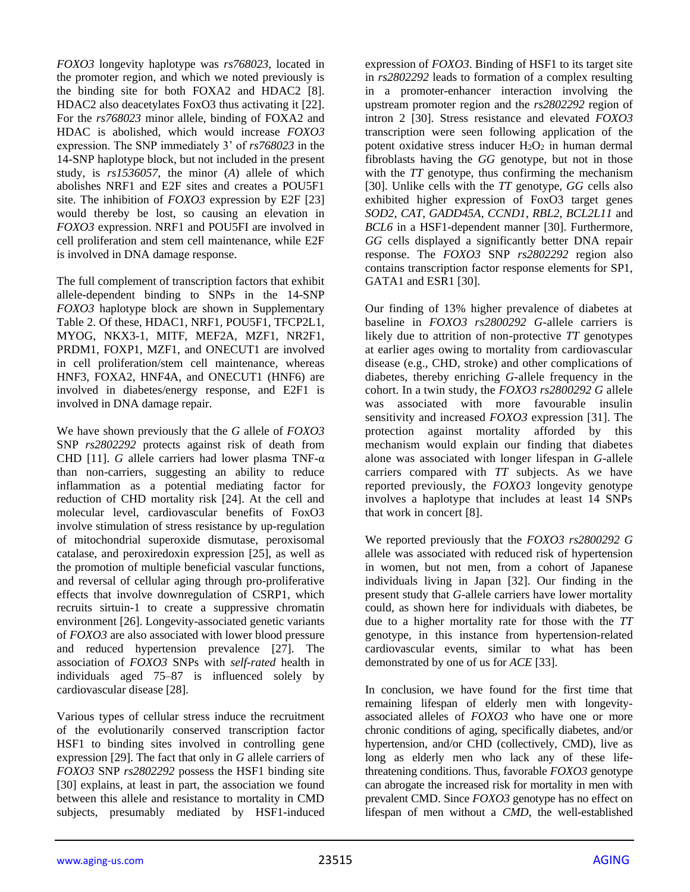*FOXO3* longevity haplotype was *rs768023*, located in the promoter region, and which we noted previously is the binding site for both FOXA2 and HDAC2 [8]. HDAC2 also deacetylates FoxO3 thus activating it [22]. For the *rs768023* minor allele, binding of FOXA2 and HDAC is abolished, which would increase *FOXO3* expression. The SNP immediately 3' of *rs768023* in the 14-SNP haplotype block, but not included in the present study, is *rs1536057*, the minor (*A*) allele of which abolishes NRF1 and E2F sites and creates a POU5F1 site. The inhibition of *FOXO3* expression by E2F [23] would thereby be lost, so causing an elevation in *FOXO3* expression. NRF1 and POU5FI are involved in cell proliferation and stem cell maintenance, while E2F is involved in DNA damage response.

The full complement of transcription factors that exhibit allele-dependent binding to SNPs in the 14-SNP *FOXO3* haplotype block are shown in Supplementary Table 2. Of these, HDAC1, NRF1, POU5F1, TFCP2L1, MYOG, NKX3-1, MITF, MEF2A, MZF1, NR2F1, PRDM1, FOXP1, MZF1, and ONECUT1 are involved in cell proliferation/stem cell maintenance, whereas HNF3, FOXA2, HNF4A, and ONECUT1 (HNF6) are involved in diabetes/energy response, and E2F1 is involved in DNA damage repair.

We have shown previously that the *G* allele of *FOXO3* SNP *rs2802292* protects against risk of death from CHD [11]. *G* allele carriers had lower plasma TNF-α than non-carriers, suggesting an ability to reduce inflammation as a potential mediating factor for reduction of CHD mortality risk [24]. At the cell and molecular level, cardiovascular benefits of FoxO3 involve stimulation of stress resistance by up-regulation of mitochondrial superoxide dismutase, peroxisomal catalase, and peroxiredoxin expression [25], as well as the promotion of multiple beneficial vascular functions, and reversal of cellular aging through pro-proliferative effects that involve downregulation of CSRP1, which recruits sirtuin-1 to create a suppressive chromatin environment [26]. Longevity-associated genetic variants of *FOXO3* are also associated with lower blood pressure and reduced hypertension prevalence [27]. The association of *FOXO3* SNPs with *self-rated* health in individuals aged 75–87 is influenced solely by cardiovascular disease [28].

Various types of cellular stress induce the recruitment of the evolutionarily conserved transcription factor HSF1 to binding sites involved in controlling gene expression [29]. The fact that only in *G* allele carriers of *FOXO3* SNP *rs2802292* possess the HSF1 binding site [30] explains, at least in part, the association we found between this allele and resistance to mortality in CMD subjects, presumably mediated by HSF1-induced

expression of *FOXO3*. Binding of HSF1 to its target site in *rs2802292* leads to formation of a complex resulting in a promoter-enhancer interaction involving the upstream promoter region and the *rs2802292* region of intron 2 [30]. Stress resistance and elevated *FOXO3* transcription were seen following application of the potent oxidative stress inducer  $H_2O_2$  in human dermal fibroblasts having the *GG* genotype, but not in those with the *TT* genotype, thus confirming the mechanism [30]. Unlike cells with the *TT* genotype, *GG* cells also exhibited higher expression of FoxO3 target genes *SOD2*, *CAT*, *GADD45A*, *CCND1*, *RBL2*, *BCL2L11* and *BCL6* in a HSF1-dependent manner [30]. Furthermore, *GG* cells displayed a significantly better DNA repair response. The *FOXO3* SNP *rs2802292* region also contains transcription factor response elements for SP1, GATA1 and ESR1 [30].

Our finding of 13% higher prevalence of diabetes at baseline in *FOXO3 rs2800292 G*-allele carriers is likely due to attrition of non-protective *TT* genotypes at earlier ages owing to mortality from cardiovascular disease (e.g., CHD, stroke) and other complications of diabetes, thereby enriching *G*-allele frequency in the cohort. In a twin study, the *FOXO3 rs2800292 G* allele was associated with more favourable insulin sensitivity and increased *FOXO3* expression [31]. The protection against mortality afforded by this mechanism would explain our finding that diabetes alone was associated with longer lifespan in *G*-allele carriers compared with *TT* subjects. As we have reported previously, the *FOXO3* longevity genotype involves a haplotype that includes at least 14 SNPs that work in concert [8].

We reported previously that the *FOXO3 rs2800292 G* allele was associated with reduced risk of hypertension in women, but not men, from a cohort of Japanese individuals living in Japan [32]. Our finding in the present study that *G*-allele carriers have lower mortality could, as shown here for individuals with diabetes, be due to a higher mortality rate for those with the *TT* genotype, in this instance from hypertension-related cardiovascular events, similar to what has been demonstrated by one of us for *ACE* [33].

In conclusion, we have found for the first time that remaining lifespan of elderly men with longevityassociated alleles of *FOXO3* who have one or more chronic conditions of aging, specifically diabetes, and/or hypertension, and/or CHD (collectively, CMD), live as long as elderly men who lack any of these lifethreatening conditions. Thus, favorable *FOXO3* genotype can abrogate the increased risk for mortality in men with prevalent CMD. Since *FOXO3* genotype has no effect on lifespan of men without a *CMD*, the well-established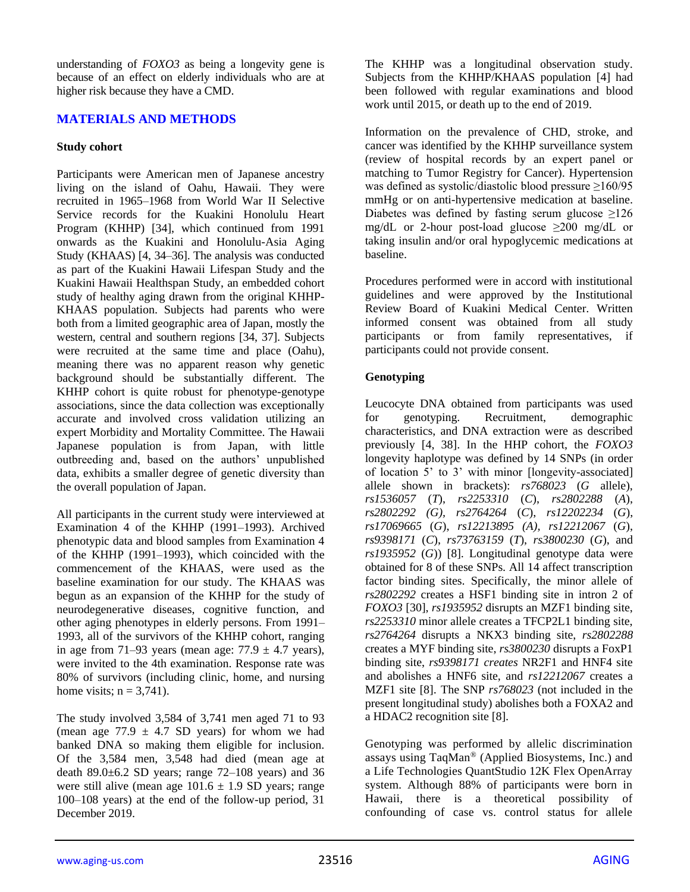understanding of *FOXO3* as being a longevity gene is because of an effect on elderly individuals who are at higher risk because they have a CMD.

## **MATERIALS AND METHODS**

#### **Study cohort**

Participants were American men of Japanese ancestry living on the island of Oahu, Hawaii. They were recruited in 1965–1968 from World War II Selective Service records for the Kuakini Honolulu Heart Program (KHHP) [34], which continued from 1991 onwards as the Kuakini and Honolulu-Asia Aging Study (KHAAS) [4, 34–36]. The analysis was conducted as part of the Kuakini Hawaii Lifespan Study and the Kuakini Hawaii Healthspan Study, an embedded cohort study of healthy aging drawn from the original KHHP-KHAAS population. Subjects had parents who were both from a limited geographic area of Japan, mostly the western, central and southern regions [34, 37]. Subjects were recruited at the same time and place (Oahu), meaning there was no apparent reason why genetic background should be substantially different. The KHHP cohort is quite robust for phenotype-genotype associations, since the data collection was exceptionally accurate and involved cross validation utilizing an expert Morbidity and Mortality Committee. The Hawaii Japanese population is from Japan, with little outbreeding and, based on the authors' unpublished data, exhibits a smaller degree of genetic diversity than the overall population of Japan.

All participants in the current study were interviewed at Examination 4 of the KHHP (1991–1993). Archived phenotypic data and blood samples from Examination 4 of the KHHP (1991–1993), which coincided with the commencement of the KHAAS, were used as the baseline examination for our study. The KHAAS was begun as an expansion of the KHHP for the study of neurodegenerative diseases, cognitive function, and other aging phenotypes in elderly persons. From 1991– 1993, all of the survivors of the KHHP cohort, ranging in age from 71–93 years (mean age:  $77.9 \pm 4.7$  years), were invited to the 4th examination. Response rate was 80% of survivors (including clinic, home, and nursing home visits;  $n = 3,741$ ).

The study involved 3,584 of 3,741 men aged 71 to 93 (mean age  $77.9 \pm 4.7$  SD years) for whom we had banked DNA so making them eligible for inclusion. Of the 3,584 men, 3,548 had died (mean age at death  $89.0\pm6.2$  SD years; range  $72-108$  years) and 36 were still alive (mean age  $101.6 \pm 1.9$  SD years; range 100–108 years) at the end of the follow-up period, 31 December 2019.

The KHHP was a longitudinal observation study. Subjects from the KHHP/KHAAS population [4] had been followed with regular examinations and blood work until 2015, or death up to the end of 2019.

Information on the prevalence of CHD, stroke, and cancer was identified by the KHHP surveillance system (review of hospital records by an expert panel or matching to Tumor Registry for Cancer). Hypertension was defined as systolic/diastolic blood pressure ≥160/95 mmHg or on anti-hypertensive medication at baseline. Diabetes was defined by fasting serum glucose  $\geq 126$ mg/dL or 2-hour post-load glucose  $\geq 200$  mg/dL or taking insulin and/or oral hypoglycemic medications at baseline.

Procedures performed were in accord with institutional guidelines and were approved by the Institutional Review Board of Kuakini Medical Center. Written informed consent was obtained from all study participants or from family representatives, if participants could not provide consent.

## **Genotyping**

Leucocyte DNA obtained from participants was used for genotyping. Recruitment, demographic characteristics, and DNA extraction were as described previously [4, 38]. In the HHP cohort, the *FOXO3* longevity haplotype was defined by 14 SNPs (in order of location 5' to 3' with minor [longevity-associated] allele shown in brackets): *rs768023* (*G* allele), *rs1536057* (*T*), *rs2253310* (*C*), *rs2802288* (*A*), *rs2802292 (G), rs2764264* (*C*), *rs12202234* (*G*), *rs17069665* (*G*), *rs12213895 (A), rs12212067* (*G*), *rs9398171* (*C*), *rs73763159* (*T*), *rs3800230* (*G*), and *rs1935952* (*G*)) [8]. Longitudinal genotype data were obtained for 8 of these SNPs. All 14 affect transcription factor binding sites. Specifically, the minor allele of *rs2802292* creates a HSF1 binding site in intron 2 of *FOXO3* [30], *rs1935952* disrupts an MZF1 binding site, *rs2253310* minor allele creates a TFCP2L1 binding site, *rs2764264* disrupts a NKX3 binding site, *rs2802288* creates a MYF binding site, *rs3800230* disrupts a FoxP1 binding site, *rs9398171 creates* NR2F1 and HNF4 site and abolishes a HNF6 site, and *rs12212067* creates a MZF1 site [8]. The SNP *rs768023* (not included in the present longitudinal study) abolishes both a FOXA2 and a HDAC2 recognition site [8].

Genotyping was performed by allelic discrimination assays using TaqMan® (Applied Biosystems, Inc.) and a Life Technologies QuantStudio 12K Flex OpenArray system. Although 88% of participants were born in Hawaii, there is a theoretical possibility of confounding of case vs. control status for allele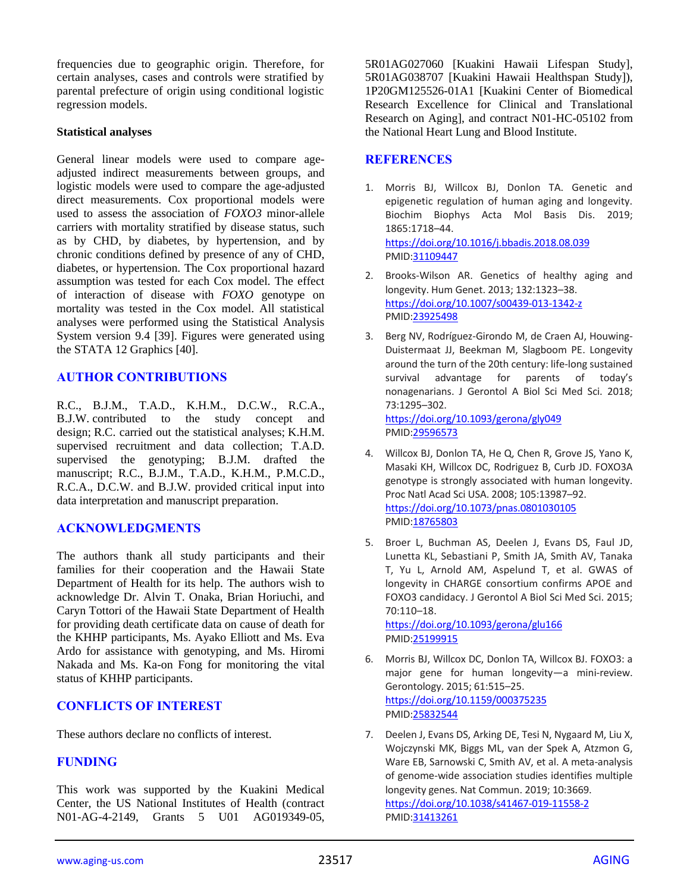frequencies due to geographic origin. Therefore, for certain analyses, cases and controls were stratified by parental prefecture of origin using conditional logistic regression models.

#### **Statistical analyses**

General linear models were used to compare ageadjusted indirect measurements between groups, and logistic models were used to compare the age-adjusted direct measurements. Cox proportional models were used to assess the association of *FOXO3* minor-allele carriers with mortality stratified by disease status, such as by CHD, by diabetes, by hypertension, and by chronic conditions defined by presence of any of CHD, diabetes, or hypertension. The Cox proportional hazard assumption was tested for each Cox model. The effect of interaction of disease with *FOXO* genotype on mortality was tested in the Cox model. All statistical analyses were performed using the Statistical Analysis System version 9.4 [39]. Figures were generated using the STATA 12 Graphics [40].

## **AUTHOR CONTRIBUTIONS**

R.C., B.J.M., T.A.D., K.H.M., D.C.W., R.C.A., B.J.W. contributed to the study concept and design; R.C. carried out the statistical analyses; K.H.M. supervised recruitment and data collection; T.A.D. supervised the genotyping; B.J.M. drafted the manuscript; R.C., B.J.M., T.A.D., K.H.M., P.M.C.D., R.C.A., D.C.W. and B.J.W. provided critical input into data interpretation and manuscript preparation.

#### **ACKNOWLEDGMENTS**

The authors thank all study participants and their families for their cooperation and the Hawaii State Department of Health for its help. The authors wish to acknowledge Dr. Alvin T. Onaka, Brian Horiuchi, and Caryn Tottori of the Hawaii State Department of Health for providing death certificate data on cause of death for the KHHP participants, Ms. Ayako Elliott and Ms. Eva Ardo for assistance with genotyping, and Ms. Hiromi Nakada and Ms. Ka-on Fong for monitoring the vital status of KHHP participants.

## **CONFLICTS OF INTEREST**

These authors declare no conflicts of interest.

## **FUNDING**

This work was supported by the Kuakini Medical Center, the US National Institutes of Health (contract N01-AG-4-2149, Grants 5 U01 AG019349-05,

5R01AG027060 [Kuakini Hawaii Lifespan Study], 5R01AG038707 [Kuakini Hawaii Healthspan Study]), 1P20GM125526-01A1 [Kuakini Center of Biomedical Research Excellence for Clinical and Translational Research on Aging], and contract N01-HC-05102 from the National Heart Lung and Blood Institute.

#### **REFERENCES**

- 1. Morris BJ, Willcox BJ, Donlon TA. Genetic and epigenetic regulation of human aging and longevity. Biochim Biophys Acta Mol Basis Dis. 2019; 1865:1718–44. <https://doi.org/10.1016/j.bbadis.2018.08.039> PMI[D:31109447](https://pubmed.ncbi.nlm.nih.gov/31109447)
- 2. Brooks-Wilson AR. Genetics of healthy aging and longevity. Hum Genet. 2013; 132:1323–38. <https://doi.org/10.1007/s00439-013-1342-z> PMI[D:23925498](https://pubmed.ncbi.nlm.nih.gov/23925498)
- 3. Berg NV, Rodríguez-Girondo M, de Craen AJ, Houwing-Duistermaat JJ, Beekman M, Slagboom PE. Longevity around the turn of the 20th century: life-long sustained survival advantage for parents of today's nonagenarians. J Gerontol A Biol Sci Med Sci. 2018; 73:1295–302.

<https://doi.org/10.1093/gerona/gly049> PMI[D:29596573](https://pubmed.ncbi.nlm.nih.gov/29596573)

- 4. Willcox BJ, Donlon TA, He Q, Chen R, Grove JS, Yano K, Masaki KH, Willcox DC, Rodriguez B, Curb JD. FOXO3A genotype is strongly associated with human longevity. Proc Natl Acad Sci USA. 2008; 105:13987–92. <https://doi.org/10.1073/pnas.0801030105> PMI[D:18765803](https://pubmed.ncbi.nlm.nih.gov/18765803)
- 5. Broer L, Buchman AS, Deelen J, Evans DS, Faul JD, Lunetta KL, Sebastiani P, Smith JA, Smith AV, Tanaka T, Yu L, Arnold AM, Aspelund T, et al. GWAS of longevity in CHARGE consortium confirms APOE and FOXO3 candidacy. J Gerontol A Biol Sci Med Sci. 2015; 70:110–18.

<https://doi.org/10.1093/gerona/glu166> PMI[D:25199915](https://pubmed.ncbi.nlm.nih.gov/25199915)

- 6. Morris BJ, Willcox DC, Donlon TA, Willcox BJ. FOXO3: a major gene for human longevity—a mini-review. Gerontology. 2015; 61:515–25. <https://doi.org/10.1159/000375235> PMI[D:25832544](https://pubmed.ncbi.nlm.nih.gov/25832544)
- 7. Deelen J, Evans DS, Arking DE, Tesi N, Nygaard M, Liu X, Wojczynski MK, Biggs ML, van der Spek A, Atzmon G, Ware EB, Sarnowski C, Smith AV, et al. A meta-analysis of genome-wide association studies identifies multiple longevity genes. Nat Commun. 2019; 10:3669. <https://doi.org/10.1038/s41467-019-11558-2> PMI[D:31413261](https://pubmed.ncbi.nlm.nih.gov/31413261)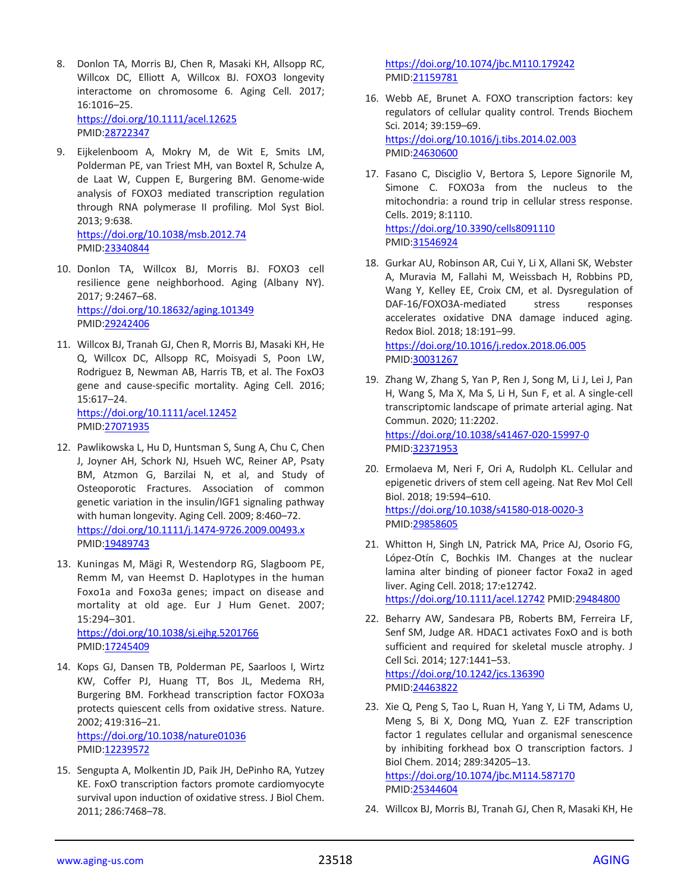- 8. Donlon TA, Morris BJ, Chen R, Masaki KH, Allsopp RC, Willcox DC, Elliott A, Willcox BJ. FOXO3 longevity interactome on chromosome 6. Aging Cell. 2017; 16:1016–25. <https://doi.org/10.1111/acel.12625> PMID[:28722347](https://pubmed.ncbi.nlm.nih.gov/28722347)
- 9. Eijkelenboom A, Mokry M, de Wit E, Smits LM, Polderman PE, van Triest MH, van Boxtel R, Schulze A, de Laat W, Cuppen E, Burgering BM. Genome-wide analysis of FOXO3 mediated transcription regulation through RNA polymerase II profiling. Mol Syst Biol. 2013; 9:638. <https://doi.org/10.1038/msb.2012.74> PMID[:23340844](https://pubmed.ncbi.nlm.nih.gov/23340844)
- 10. Donlon TA, Willcox BJ, Morris BJ. FOXO3 cell resilience gene neighborhood. Aging (Albany NY). 2017; 9:2467–68. <https://doi.org/10.18632/aging.101349> PMID[:29242406](https://pubmed.ncbi.nlm.nih.gov/29242406)
- 11. Willcox BJ, Tranah GJ, Chen R, Morris BJ, Masaki KH, He Q, Willcox DC, Allsopp RC, Moisyadi S, Poon LW, Rodriguez B, Newman AB, Harris TB, et al. The FoxO3 gene and cause-specific mortality. Aging Cell. 2016; 15:617–24. <https://doi.org/10.1111/acel.12452> PMID[:27071935](https://pubmed.ncbi.nlm.nih.gov/27071935)
- 12. Pawlikowska L, Hu D, Huntsman S, Sung A, Chu C, Chen J, Joyner AH, Schork NJ, Hsueh WC, Reiner AP, Psaty BM, Atzmon G, Barzilai N, et al, and Study of Osteoporotic Fractures. Association of common genetic variation in the insulin/IGF1 signaling pathway with human longevity. Aging Cell. 2009; 8:460–72. <https://doi.org/10.1111/j.1474-9726.2009.00493.x> PMID[:19489743](https://pubmed.ncbi.nlm.nih.gov/19489743)
- 13. Kuningas M, Mägi R, Westendorp RG, Slagboom PE, Remm M, van Heemst D. Haplotypes in the human Foxo1a and Foxo3a genes; impact on disease and mortality at old age. Eur J Hum Genet. 2007; 15:294–301.

<https://doi.org/10.1038/sj.ejhg.5201766> PMID[:17245409](https://pubmed.ncbi.nlm.nih.gov/17245409)

- 14. Kops GJ, Dansen TB, Polderman PE, Saarloos I, Wirtz KW, Coffer PJ, Huang TT, Bos JL, Medema RH, Burgering BM. Forkhead transcription factor FOXO3a protects quiescent cells from oxidative stress. Nature. 2002; 419:316–21. <https://doi.org/10.1038/nature01036> PMID[:12239572](https://pubmed.ncbi.nlm.nih.gov/12239572)
- 15. Sengupta A, Molkentin JD, Paik JH, DePinho RA, Yutzey KE. FoxO transcription factors promote cardiomyocyte survival upon induction of oxidative stress. J Biol Chem. 2011; 286:7468–78.

<https://doi.org/10.1074/jbc.M110.179242> PMI[D:21159781](https://pubmed.ncbi.nlm.nih.gov/21159781)

- 16. Webb AE, Brunet A. FOXO transcription factors: key regulators of cellular quality control. Trends Biochem Sci. 2014; 39:159–69. <https://doi.org/10.1016/j.tibs.2014.02.003> PMI[D:24630600](https://pubmed.ncbi.nlm.nih.gov/24630600)
- 17. Fasano C, Disciglio V, Bertora S, Lepore Signorile M, Simone C. FOXO3a from the nucleus to the mitochondria: a round trip in cellular stress response. Cells. 2019; 8:1110. <https://doi.org/10.3390/cells8091110> PMI[D:31546924](https://pubmed.ncbi.nlm.nih.gov/31546924)
- 18. Gurkar AU, Robinson AR, Cui Y, Li X, Allani SK, Webster A, Muravia M, Fallahi M, Weissbach H, Robbins PD, Wang Y, Kelley EE, Croix CM, et al. Dysregulation of DAF-16/FOXO3A-mediated stress responses accelerates oxidative DNA damage induced aging. Redox Biol. 2018; 18:191–99. <https://doi.org/10.1016/j.redox.2018.06.005> PMI[D:30031267](https://pubmed.ncbi.nlm.nih.gov/30031267)
- 19. Zhang W, Zhang S, Yan P, Ren J, Song M, Li J, Lei J, Pan H, Wang S, Ma X, Ma S, Li H, Sun F, et al. A single-cell transcriptomic landscape of primate arterial aging. Nat Commun. 2020; 11:2202. <https://doi.org/10.1038/s41467-020-15997-0> PMI[D:32371953](https://pubmed.ncbi.nlm.nih.gov/32371953)
- 20. Ermolaeva M, Neri F, Ori A, Rudolph KL. Cellular and epigenetic drivers of stem cell ageing. Nat Rev Mol Cell Biol. 2018; 19:594–610. <https://doi.org/10.1038/s41580-018-0020-3> PMI[D:29858605](https://pubmed.ncbi.nlm.nih.gov/29858605)
- 21. Whitton H, Singh LN, Patrick MA, Price AJ, Osorio FG, López-Otín C, Bochkis IM. Changes at the nuclear lamina alter binding of pioneer factor Foxa2 in aged liver. Aging Cell. 2018; 17:e12742. <https://doi.org/10.1111/acel.12742> PMI[D:29484800](https://pubmed.ncbi.nlm.nih.gov/29484800)
- 22. Beharry AW, Sandesara PB, Roberts BM, Ferreira LF, Senf SM, Judge AR. HDAC1 activates FoxO and is both sufficient and required for skeletal muscle atrophy. J Cell Sci. 2014; 127:1441–53. <https://doi.org/10.1242/jcs.136390> PMI[D:24463822](https://pubmed.ncbi.nlm.nih.gov/24463822)
- 23. Xie Q, Peng S, Tao L, Ruan H, Yang Y, Li TM, Adams U, Meng S, Bi X, Dong MQ, Yuan Z. E2F transcription factor 1 regulates cellular and organismal senescence by inhibiting forkhead box O transcription factors. J Biol Chem. 2014; 289:34205–13. <https://doi.org/10.1074/jbc.M114.587170>

PMI[D:25344604](https://pubmed.ncbi.nlm.nih.gov/25344604)

24. Willcox BJ, Morris BJ, Tranah GJ, Chen R, Masaki KH, He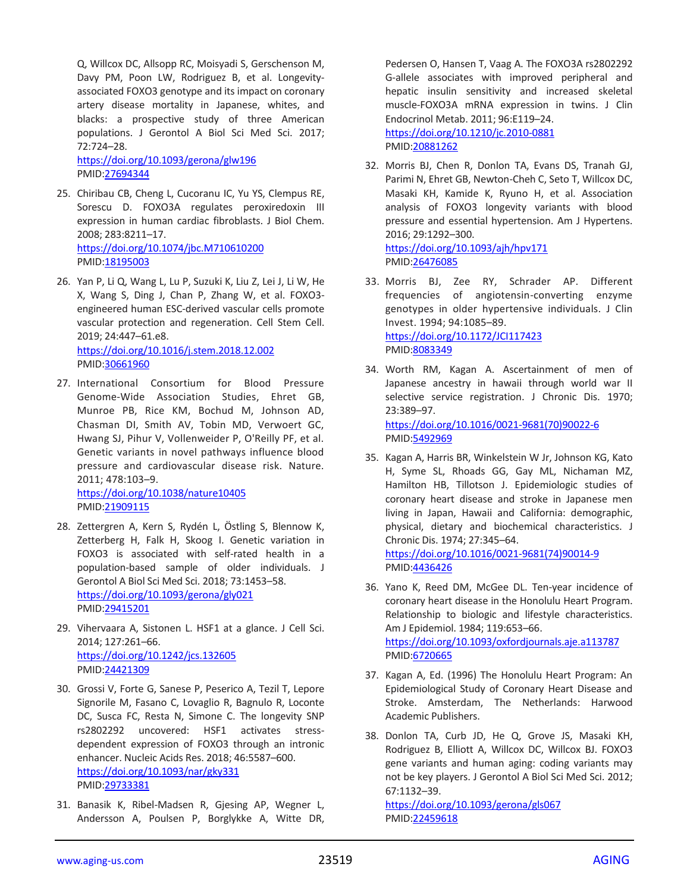Q, Willcox DC, Allsopp RC, Moisyadi S, Gerschenson M, Davy PM, Poon LW, Rodriguez B, et al. Longevityassociated FOXO3 genotype and its impact on coronary artery disease mortality in Japanese, whites, and blacks: a prospective study of three American populations. J Gerontol A Biol Sci Med Sci. 2017; 72:724–28.

<https://doi.org/10.1093/gerona/glw196> PMID[:27694344](https://pubmed.ncbi.nlm.nih.gov/27694344)

- 25. Chiribau CB, Cheng L, Cucoranu IC, Yu YS, Clempus RE, Sorescu D. FOXO3A regulates peroxiredoxin III expression in human cardiac fibroblasts. J Biol Chem. 2008; 283:8211–17. <https://doi.org/10.1074/jbc.M710610200> PMID[:18195003](https://pubmed.ncbi.nlm.nih.gov/18195003)
- 26. Yan P, Li Q, Wang L, Lu P, Suzuki K, Liu Z, Lei J, Li W, He X, Wang S, Ding J, Chan P, Zhang W, et al. FOXO3 engineered human ESC-derived vascular cells promote vascular protection and regeneration. Cell Stem Cell. 2019; 24:447–61.e8. <https://doi.org/10.1016/j.stem.2018.12.002>
	- PMID[:30661960](https://pubmed.ncbi.nlm.nih.gov/30661960)
- 27. International Consortium for Blood Pressure Genome-Wide Association Studies, Ehret GB, Munroe PB, Rice KM, Bochud M, Johnson AD, Chasman DI, Smith AV, Tobin MD, Verwoert GC, Hwang SJ, Pihur V, Vollenweider P, O'Reilly PF, et al. Genetic variants in novel pathways influence blood pressure and cardiovascular disease risk. Nature. 2011; 478:103–9.

<https://doi.org/10.1038/nature10405> PMID[:21909115](https://pubmed.ncbi.nlm.nih.gov/21909115)

- 28. Zettergren A, Kern S, Rydén L, Östling S, Blennow K, Zetterberg H, Falk H, Skoog I. Genetic variation in FOXO3 is associated with self-rated health in a population-based sample of older individuals. J Gerontol A Biol Sci Med Sci. 2018; 73:1453–58. <https://doi.org/10.1093/gerona/gly021> PMID[:29415201](https://pubmed.ncbi.nlm.nih.gov/29415201)
- 29. Vihervaara A, Sistonen L. HSF1 at a glance. J Cell Sci. 2014; 127:261–66. <https://doi.org/10.1242/jcs.132605> PMID[:24421309](https://pubmed.ncbi.nlm.nih.gov/24421309)
- 30. Grossi V, Forte G, Sanese P, Peserico A, Tezil T, Lepore Signorile M, Fasano C, Lovaglio R, Bagnulo R, Loconte DC, Susca FC, Resta N, Simone C. The longevity SNP rs2802292 uncovered: HSF1 activates stressdependent expression of FOXO3 through an intronic enhancer. Nucleic Acids Res. 2018; 46:5587–600. <https://doi.org/10.1093/nar/gky331> PMID[:29733381](https://pubmed.ncbi.nlm.nih.gov/29733381)
- 31. Banasik K, Ribel-Madsen R, Gjesing AP, Wegner L, Andersson A, Poulsen P, Borglykke A, Witte DR,

Pedersen O, Hansen T, Vaag A. The FOXO3A rs2802292 G-allele associates with improved peripheral and hepatic insulin sensitivity and increased skeletal muscle-FOXO3A mRNA expression in twins. J Clin Endocrinol Metab. 2011; 96:E119–24. <https://doi.org/10.1210/jc.2010-0881> PMI[D:20881262](https://pubmed.ncbi.nlm.nih.gov/20881262)

32. Morris BJ, Chen R, Donlon TA, Evans DS, Tranah GJ, Parimi N, Ehret GB, Newton-Cheh C, Seto T, Willcox DC, Masaki KH, Kamide K, Ryuno H, et al. Association analysis of FOXO3 longevity variants with blood pressure and essential hypertension. Am J Hypertens. 2016; 29:1292–300.

<https://doi.org/10.1093/ajh/hpv171> PMI[D:26476085](https://pubmed.ncbi.nlm.nih.gov/26476085)

- 33. Morris BJ, Zee RY, Schrader AP. Different frequencies of angiotensin-converting enzyme genotypes in older hypertensive individuals. J Clin Invest. 1994; 94:1085–89. <https://doi.org/10.1172/JCI117423> PMI[D:8083349](https://pubmed.ncbi.nlm.nih.gov/8083349)
- 34. Worth RM, Kagan A. Ascertainment of men of Japanese ancestry in hawaii through world war II selective service registration. J Chronic Dis. 1970; 23:389–97. [https://doi.org/10.1016/0021-9681\(70\)90022-6](https://doi.org/10.1016/0021-9681(70)90022-6) PMI[D:5492969](https://pubmed.ncbi.nlm.nih.gov/5492969)
- 35. Kagan A, Harris BR, Winkelstein W Jr, Johnson KG, Kato H, Syme SL, Rhoads GG, Gay ML, Nichaman MZ, Hamilton HB, Tillotson J. Epidemiologic studies of coronary heart disease and stroke in Japanese men living in Japan, Hawaii and California: demographic, physical, dietary and biochemical characteristics. J Chronic Dis. 1974; 27:345–64. [https://doi.org/10.1016/0021-9681\(74\)90014-9](https://doi.org/10.1016/0021-9681(74)90014-9)
- 36. Yano K, Reed DM, McGee DL. Ten-year incidence of coronary heart disease in the Honolulu Heart Program. Relationship to biologic and lifestyle characteristics. Am J Epidemiol. 1984; 119:653–66. <https://doi.org/10.1093/oxfordjournals.aje.a113787> PMI[D:6720665](https://pubmed.ncbi.nlm.nih.gov/6720665)

PMI[D:4436426](https://pubmed.ncbi.nlm.nih.gov/4436426)

- 37. Kagan A, Ed. (1996) The Honolulu Heart Program: An Epidemiological Study of Coronary Heart Disease and Stroke. Amsterdam, The Netherlands: Harwood Academic Publishers.
- 38. Donlon TA, Curb JD, He Q, Grove JS, Masaki KH, Rodriguez B, Elliott A, Willcox DC, Willcox BJ. FOXO3 gene variants and human aging: coding variants may not be key players. J Gerontol A Biol Sci Med Sci. 2012; 67:1132–39.

<https://doi.org/10.1093/gerona/gls067> PMI[D:22459618](https://pubmed.ncbi.nlm.nih.gov/22459618)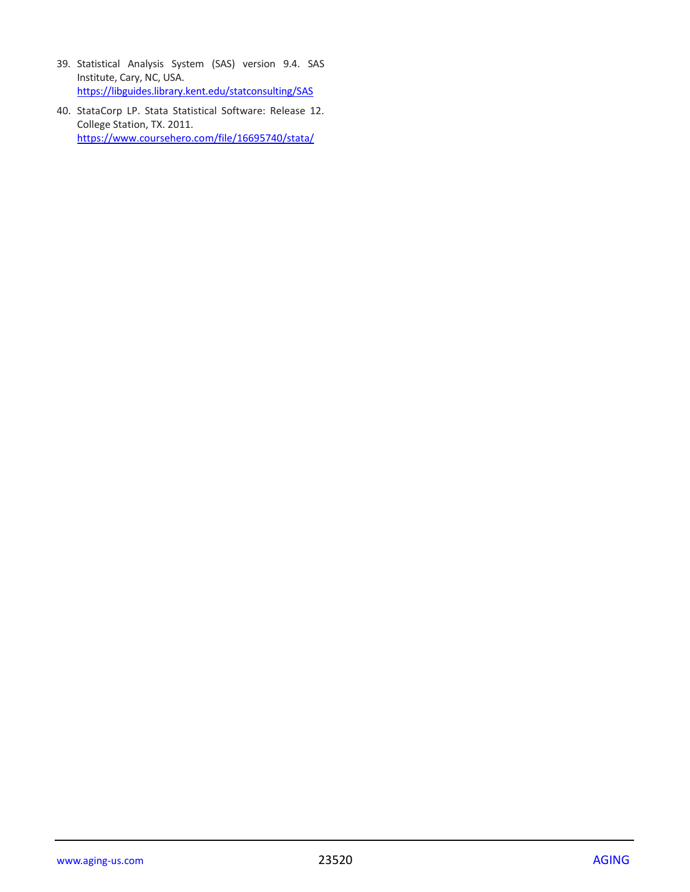- 39. Statistical Analysis System (SAS) version 9.4. SAS Institute, Cary, NC, USA. <https://libguides.library.kent.edu/statconsulting/SAS>
- 40. StataCorp LP. Stata Statistical Software: Release 12. College Station, TX. 2011. <https://www.coursehero.com/file/16695740/stata/>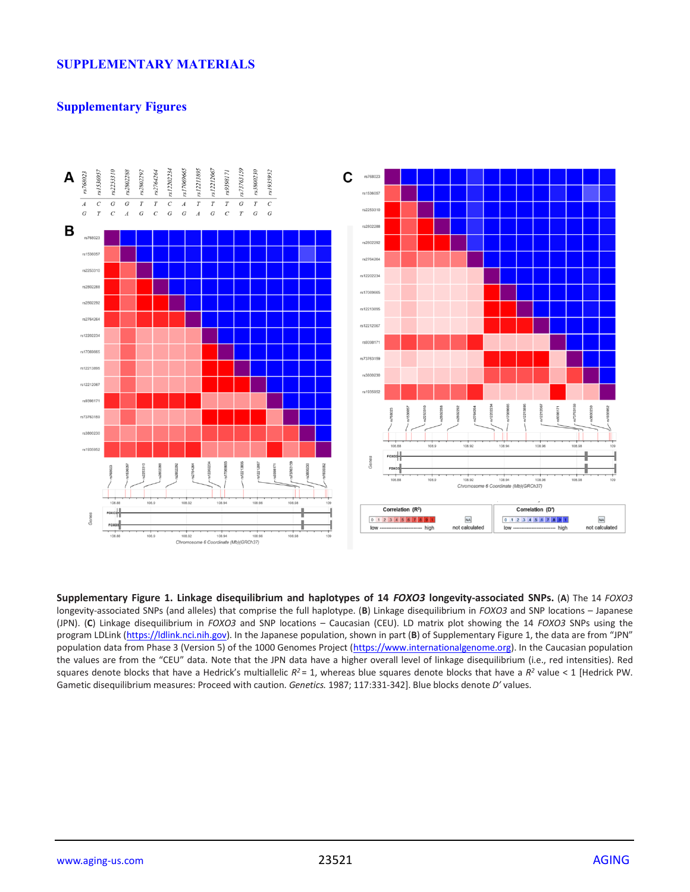## **SUPPLEMENTARY MATERIALS**

## **Supplementary Figures**



**Supplementary Figure 1. Linkage disequilibrium and haplotypes of 14** *FOXO3* **longevity-associated SNPs.** (**A**) The 14 *FOXO3* longevity-associated SNPs (and alleles) that comprise the full haplotype. (**B**) Linkage disequilibrium in *FOXO3* and SNP locations – Japanese (JPN). (**C**) Linkage disequilibrium in *FOXO3* and SNP locations – Caucasian (CEU). LD matrix plot showing the 14 *FOXO3* SNPs using the program LDLink [\(https://ldlink.nci.nih.gov\)](https://ldlink.nci.nih.gov/). In the Japanese population, shown in part (**B**) of Supplementary Figure 1, the data are from "JPN" population data from Phase 3 (Version 5) of the 1000 Genomes Project [\(https://www.internationalgenome.org\)](https://www.internationalgenome.org/). In the Caucasian population the values are from the "CEU" data. Note that the JPN data have a higher overall level of linkage disequilibrium (i.e., red intensities). Red squares denote blocks that have a Hedrick's multiallelic  $R^2 = 1$ , whereas blue squares denote blocks that have a  $R^2$  value < 1 [Hedrick PW. Gametic disequilibrium measures: Proceed with caution. *Genetics.* 1987; 117:331-342]. Blue blocks denote *D'* values.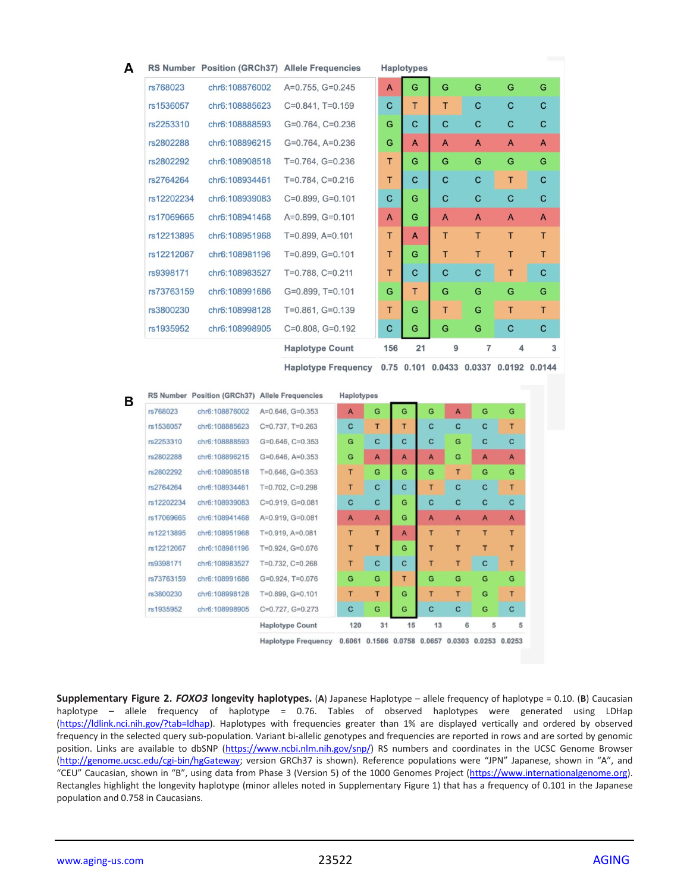|                        |                                                | RS Number Position (GRCh37) Allele Frequencies |                            |     | <b>Haplotypes</b> |    |                |                                        |   |   |
|------------------------|------------------------------------------------|------------------------------------------------|----------------------------|-----|-------------------|----|----------------|----------------------------------------|---|---|
| rs768023               | chr6:108876002                                 | A=0.755, G=0.245                               |                            | A   | G                 |    | G              | G                                      | G | G |
| rs1536057              | chr6:108885623                                 | $C=0.841$ , $T=0.159$                          |                            | с   | T                 |    | T              | C                                      | C | C |
| rs2253310              | chr6:108888593                                 | $G=0.764$ , $C=0.236$                          |                            | G   | с                 |    | с              | с                                      | с | C |
| rs2802288              | chr6:108896215                                 | $G=0.764$ , $A=0.236$                          |                            | G   | A                 |    | A              | A                                      | A | A |
| rs2802292              | chr6:108908518                                 | $T=0.764$ , $G=0.236$                          |                            | т   | G                 |    | G              | G                                      | G | G |
| rs2764264              | chr6:108934461                                 | $T=0.784$ , $C=0.216$                          |                            | T   | с                 |    | с              | с                                      | T | C |
| rs12202234             | chr6:108939083                                 | $C=0.899, G=0.101$                             |                            | с   | G                 |    | C              | C                                      | с | C |
| rs17069665             | chr6:108941468                                 | $A=0.899, G=0.101$                             |                            | A   | G                 |    | A              | A                                      | A | A |
| rs12213895             | chr6:108951968                                 | $T=0.899, A=0.101$                             |                            | Τ   | A                 |    | Τ              | т                                      | T | T |
| rs12212067             | chr6:108981196                                 | T=0.899, G=0.101                               |                            | T   | G                 |    | T              | т                                      | т | т |
| rs9398171              | chr6:108983527                                 | $T=0.788$ , $C=0.211$                          |                            | т   | с                 |    | с              | с                                      | Τ | C |
| rs73763159             | chr6:108991686                                 | $G=0.899$ , T=0.101                            |                            | G   | т                 |    | G              | G                                      | G | G |
| rs3800230              | chr6:108998128                                 | $T=0.861, G=0.139$                             |                            | т   | G                 |    | т              | G                                      | Τ | т |
|                        |                                                |                                                |                            |     |                   |    |                | G                                      | с | c |
| rs1935952              |                                                |                                                |                            |     | G                 |    |                |                                        |   |   |
|                        | chr6:108998905                                 | $C=0.808$ , $G=0.192$                          |                            | с   |                   |    | G              |                                        |   |   |
|                        |                                                | <b>Haplotype Count</b>                         |                            | 156 |                   | 21 | 9              | 7                                      | 4 | 3 |
|                        |                                                |                                                | <b>Haplotype Frequency</b> |     |                   |    |                | 0.75 0.101 0.0433 0.0337 0.0192 0.0144 |   |   |
|                        | RS Number Position (GRCh37) Allele Frequencies |                                                | Haplotypes                 |     |                   |    |                |                                        |   |   |
| rs768023               | chr6:108876002                                 | $A=0.646$ , $G=0.353$                          | A                          | G   | G                 | G  | $\overline{A}$ | G                                      | G |   |
| rs1536057              | chr6:108885623                                 | $C=0.737$ , T=0.263                            | $\mathbf c$                | T   | T                 | c  | C              | c                                      | T |   |
|                        | chr6:108888593                                 | $G=0.646$ , $C=0.353$                          | G                          | C   | C                 | C  | G              | c                                      | c |   |
| rs2253310<br>rs2802288 | chr6:108896215                                 | $G=0.646$ , $A=0.353$                          | G                          | A   | A                 | A  | G              | A                                      | A |   |
| rs2802292              | chr6:108908518                                 | $T=0.646$ , $G=0.353$                          | т                          | G   | G                 | G  | T              | G                                      | G |   |
| rs2764264              | chr6:108934461                                 | T=0.702, C=0.298                               | T                          | c   | c                 | T  | c              | с                                      | т |   |
| rs12202234             | chr6:108939083                                 | $C=0.919, G=0.081$                             | с                          | C   | G                 | c  | C              | c                                      | с |   |
| rs17069665             | chr6:108941468                                 | A=0.919, G=0.081                               | $\mathbf{A}$               | A   | G                 | A  | $\mathbf{A}$   | A                                      | A |   |
| rs12213895             | chr6:108951968                                 | $T=0.919, A=0.081$                             | T                          | T   | A                 | T  | T              | Τ                                      | т |   |
| rs12212067             | chr6:108981196                                 | $T=0.924$ , $G=0.076$                          | T                          | T   | G                 | T  | T              | T                                      | T |   |
| rs9398171              | chr6:108983527                                 | $T=0.732$ , $C=0.268$                          | Τ                          | C   | C                 | T  | T              | c                                      | T |   |
| rs73763159             | chr6:108991686                                 | G=0.924, T=0.076                               | G                          | G   | T                 | Ġ  | G              | G                                      | G |   |
| rs3800230              | chr6:108998128                                 | $T=0.899, G=0.101$                             | Τ                          | Τ   | G                 | т  | T              | G                                      | Τ |   |
| rs1935952              | chr6:108998905                                 | C=0.727, G=0.273                               | c                          | G   | G                 | c  | c              | G                                      | C |   |

Haplotype Frequency 0.6061 0.1566 0.0758 0.0657 0.0303 0.0253 0.0253

**Supplementary Figure 2.** *FOXO3* **longevity haplotypes.** (**A**) Japanese Haplotype – allele frequency of haplotype = 0.10. (**B**) Caucasian haplotype – allele frequency of haplotype = 0.76. Tables of observed haplotypes were generated using LDHap [\(https://ldlink.nci.nih.gov/?tab=ldhap\)](https://ldlink.nci.nih.gov/?tab=ldhap). Haplotypes with frequencies greater than 1% are displayed vertically and ordered by observed frequency in the selected query sub-population. Variant bi-allelic genotypes and frequencies are reported in rows and are sorted by genomic position. Links are available to dbSNP [\(https://www.ncbi.nlm.nih.gov/snp/\)](https://www.ncbi.nlm.nih.gov/snp/) RS numbers and coordinates in the UCSC Genome Browser [\(http://genome.ucsc.edu/cgi-bin/hgGateway;](http://genome.ucsc.edu/cgi-bin/hgGateway) version GRCh37 is shown). Reference populations were "JPN" Japanese, shown in "A", and "CEU" Caucasian, shown in "B", using data from Phase 3 (Version 5) of the 1000 Genomes Project [\(https://www.internationalgenome.org\)](https://www.internationalgenome.org/). Rectangles highlight the longevity haplotype (minor alleles noted in Supplementary Figure 1) that has a frequency of 0.101 in the Japanese population and 0.758 in Caucasians.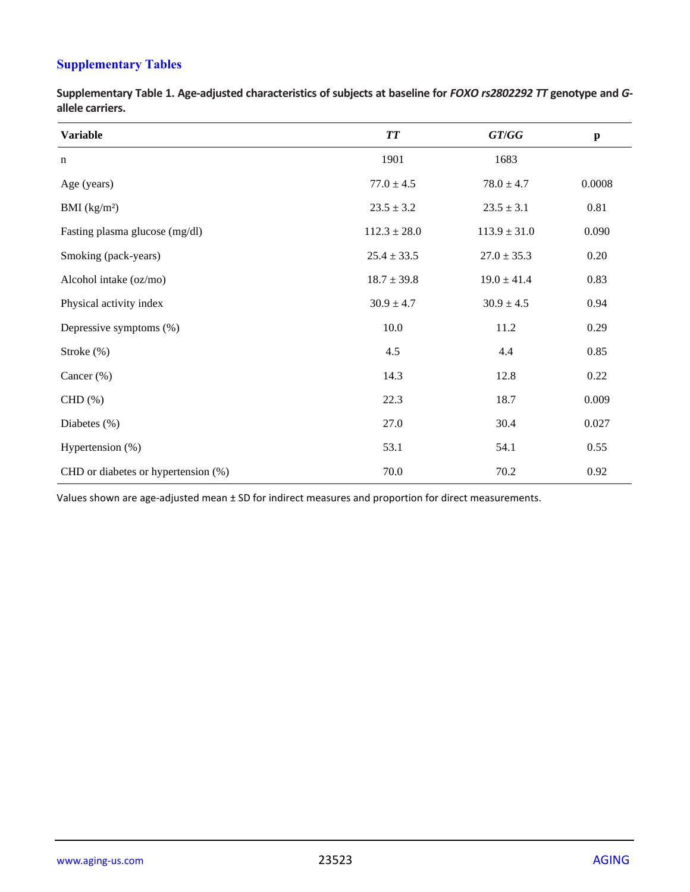# **Supplementary Tables**

**Supplementary Table 1. Age-adjusted characteristics of subjects at baseline for** *FOXO rs2802292 TT* **genotype and** *G***allele carriers.**

| <b>Variable</b>                     | <b>TT</b>        | GT/GG            | $\boldsymbol{\mathrm{p}}$ |
|-------------------------------------|------------------|------------------|---------------------------|
| $\mathbf n$                         | 1901             | 1683             |                           |
| Age (years)                         | $77.0 \pm 4.5$   | $78.0 \pm 4.7$   | 0.0008                    |
| BMI (kg/m <sup>2</sup> )            | $23.5 \pm 3.2$   | $23.5 \pm 3.1$   | 0.81                      |
| Fasting plasma glucose (mg/dl)      | $112.3 \pm 28.0$ | $113.9 \pm 31.0$ | 0.090                     |
| Smoking (pack-years)                | $25.4 \pm 33.5$  | $27.0 \pm 35.3$  | 0.20                      |
| Alcohol intake (oz/mo)              | $18.7 \pm 39.8$  | $19.0 \pm 41.4$  | 0.83                      |
| Physical activity index             | $30.9 \pm 4.7$   | $30.9 \pm 4.5$   | 0.94                      |
| Depressive symptoms (%)             | 10.0             | 11.2             | 0.29                      |
| Stroke $(\%)$                       | 4.5              | 4.4              | 0.85                      |
| Cancer (%)                          | 14.3             | 12.8             | 0.22                      |
| $CHD(\% )$                          | 22.3             | 18.7             | 0.009                     |
| Diabetes (%)                        | 27.0             | 30.4             | 0.027                     |
| Hypertension (%)                    | 53.1             | 54.1             | 0.55                      |
| CHD or diabetes or hypertension (%) | 70.0             | 70.2             | 0.92                      |

Values shown are age-adjusted mean ± SD for indirect measures and proportion for direct measurements.